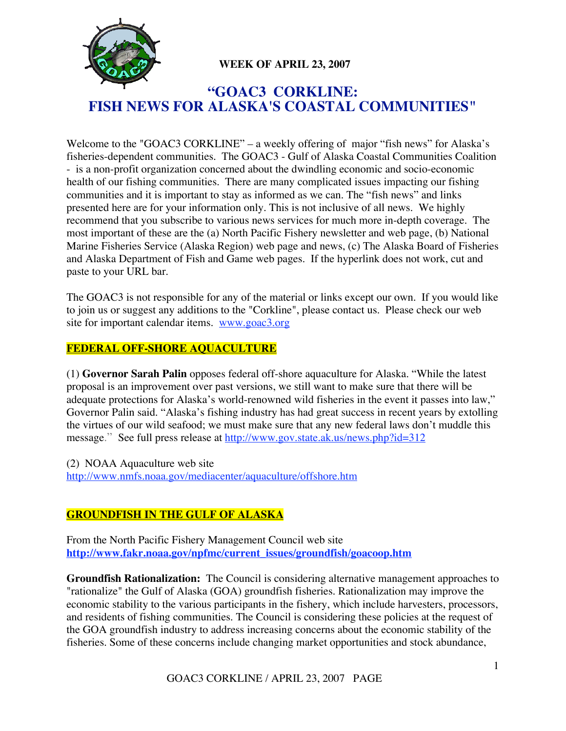

# **WEEK OF APRIL 23, 2007**

# **"GOAC3 CORKLINE: FISH NEWS FOR ALASKA'S COASTAL COMMUNITIES"**

Welcome to the "GOAC3 CORKLINE" – a weekly offering of major "fish news" for Alaska's fisheries-dependent communities. The GOAC3 - Gulf of Alaska Coastal Communities Coalition - is a non-profit organization concerned about the dwindling economic and socio-economic health of our fishing communities. There are many complicated issues impacting our fishing communities and it is important to stay as informed as we can. The "fish news" and links presented here are for your information only. This is not inclusive of all news. We highly recommend that you subscribe to various news services for much more in-depth coverage. The most important of these are the (a) North Pacific Fishery newsletter and web page, (b) National Marine Fisheries Service (Alaska Region) web page and news, (c) The Alaska Board of Fisheries and Alaska Department of Fish and Game web pages. If the hyperlink does not work, cut and paste to your URL bar.

The GOAC3 is not responsible for any of the material or links except our own. If you would like to join us or suggest any additions to the "Corkline", please contact us. Please check our web site for important calendar items. www.goac3.org

## **FEDERAL OFF-SHORE AQUACULTURE**

(1) **Governor Sarah Palin** opposes federal off-shore aquaculture for Alaska. "While the latest proposal is an improvement over past versions, we still want to make sure that there will be adequate protections for Alaska's world-renowned wild fisheries in the event it passes into law," Governor Palin said. "Alaska's fishing industry has had great success in recent years by extolling the virtues of our wild seafood; we must make sure that any new federal laws don't muddle this message." See full press release at http://www.gov.state.ak.us/news.php?id=312

(2) NOAA Aquaculture web site http://www.nmfs.noaa.gov/mediacenter/aquaculture/offshore.htm

## **GROUNDFISH IN THE GULF OF ALASKA**

From the North Pacific Fishery Management Council web site **http://www.fakr.noaa.gov/npfmc/current\_issues/groundfish/goacoop.htm**

**Groundfish Rationalization:** The Council is considering alternative management approaches to "rationalize" the Gulf of Alaska (GOA) groundfish fisheries. Rationalization may improve the economic stability to the various participants in the fishery, which include harvesters, processors, and residents of fishing communities. The Council is considering these policies at the request of the GOA groundfish industry to address increasing concerns about the economic stability of the fisheries. Some of these concerns include changing market opportunities and stock abundance,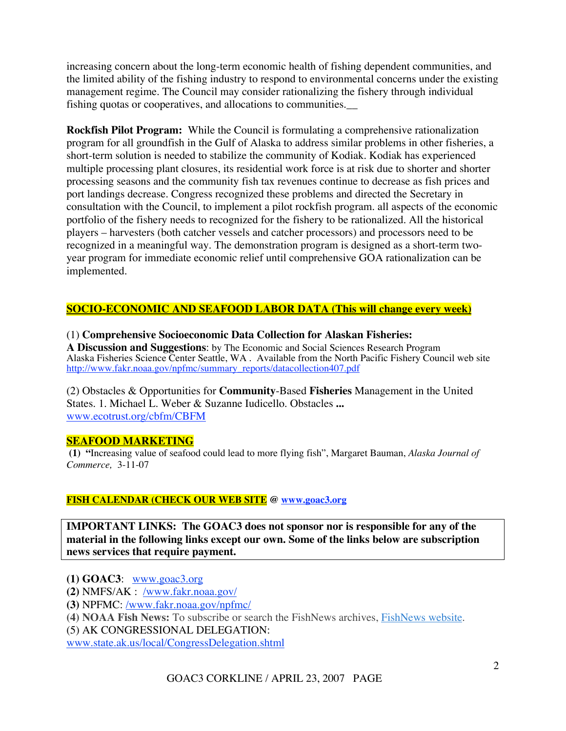increasing concern about the long-term economic health of fishing dependent communities, and the limited ability of the fishing industry to respond to environmental concerns under the existing management regime. The Council may consider rationalizing the fishery through individual fishing quotas or cooperatives, and allocations to communities.\_\_

**Rockfish Pilot Program:** While the Council is formulating a comprehensive rationalization program for all groundfish in the Gulf of Alaska to address similar problems in other fisheries, a short-term solution is needed to stabilize the community of Kodiak. Kodiak has experienced multiple processing plant closures, its residential work force is at risk due to shorter and shorter processing seasons and the community fish tax revenues continue to decrease as fish prices and port landings decrease. Congress recognized these problems and directed the Secretary in consultation with the Council, to implement a pilot rockfish program. all aspects of the economic portfolio of the fishery needs to recognized for the fishery to be rationalized. All the historical players – harvesters (both catcher vessels and catcher processors) and processors need to be recognized in a meaningful way. The demonstration program is designed as a short-term twoyear program for immediate economic relief until comprehensive GOA rationalization can be implemented.

## **SOCIO-ECONOMIC AND SEAFOOD LABOR DATA (This will change every week)**

#### (1) **Comprehensive Socioeconomic Data Collection for Alaskan Fisheries:**

**A Discussion and Suggestions**: by The Economic and Social Sciences Research Program Alaska Fisheries Science Center Seattle, WA . Available from the North Pacific Fishery Council web site http://www.fakr.noaa.gov/npfmc/summary\_reports/datacollection407.pdf

(2) Obstacles & Opportunities for **Community**-Based **Fisheries** Management in the United States. 1. Michael L. Weber & Suzanne Iudicello. Obstacles **...** www.ecotrust.org/cbfm/CBFM

#### **SEAFOOD MARKETING**

 **(1) "**Increasing value of seafood could lead to more flying fish", Margaret Bauman, *Alaska Journal of Commerce,* 3-11-07

#### **FISH CALENDAR (CHECK OUR WEB SITE @ www.goac3.org**

**IMPORTANT LINKS: The GOAC3 does not sponsor nor is responsible for any of the material in the following links except our own. Some of the links below are subscription news services that require payment.**

- **(1) GOAC3**: www.goac3.org
- **(2)** NMFS/AK : /www.fakr.noaa.gov/
- **(3)** NPFMC: /www.fakr.noaa.gov/npfmc/
- **(4) NOAA Fish News:** To subscribe or search the FishNews archives, FishNews website.
- (5) AK CONGRESSIONAL DELEGATION:

www.state.ak.us/local/CongressDelegation.shtml